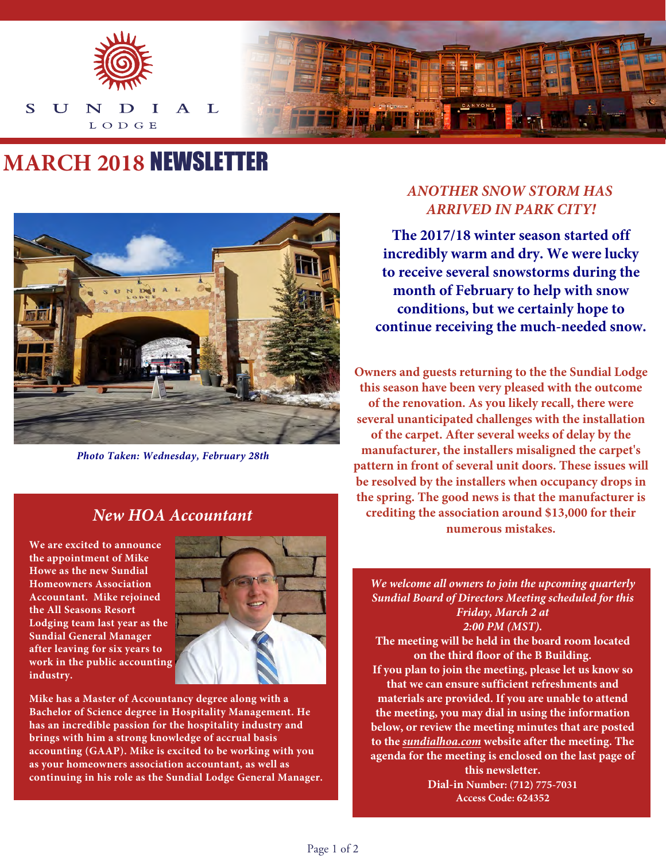

# **MARCH 2018** NEWSLETTER



*Photo Taken: Wednesday, February 28th*

#### *New HOA Accountant*

**We are excited to announce the appointment of Mike Howe as the new Sundial Homeowners Association Accountant. Mike rejoined the All Seasons Resort Lodging team last year as the Sundial General Manager after leaving for six years to work in the public accounting industry.**



**Mike has a Master of Accountancy degree along with a Bachelor of Science degree in Hospitality Management. He has an incredible passion for the hospitality industry and brings with him a strong knowledge of accrual basis accounting (GAAP). Mike is excited to be working with you as your homeowners association accountant, as well as continuing in his role as the Sundial Lodge General Manager.** 

#### *ANOTHER SNOW STORM HAS ARRIVED IN PARK CITY!*

**The 2017/18 winter season started off incredibly warm and dry. We were lucky to receive several snowstorms during the month of February to help with snow conditions, but we certainly hope to continue receiving the much-needed snow.**

**Owners and guests returning to the the Sundial Lodge this season have been very pleased with the outcome of the renovation. As you likely recall, there were several unanticipated challenges with the installation of the carpet. After several weeks of delay by the manufacturer, the installers misaligned the carpet's pattern in front of several unit doors. These issues will be resolved by the installers when occupancy drops in the spring. The good news is that the manufacturer is crediting the association around \$13,000 for their numerous mistakes.**

*We welcome all owners to join the upcoming quarterly Sundial Board of Directors Meeting scheduled for this Friday, March 2 at 2:00 PM (MST).* 

**The meeting will be held in the board room located on the third floor of the B Building.** 

**If you plan to join the meeting, please let us know so that we can ensure sufficient refreshments and materials are provided. If you are unable to attend the meeting, you may dial in using the information below, or review the meeting minutes that are posted to the** *[sundialhoa.com](https://www.allseasonsresortlodging.com/hoa/sundial-lodge/public-documents)* **website after the meeting. The agenda for the meeting is enclosed on the last page of** 

**this newsletter. Dial-in Number: (712) 775-7031 Access Code: 624352**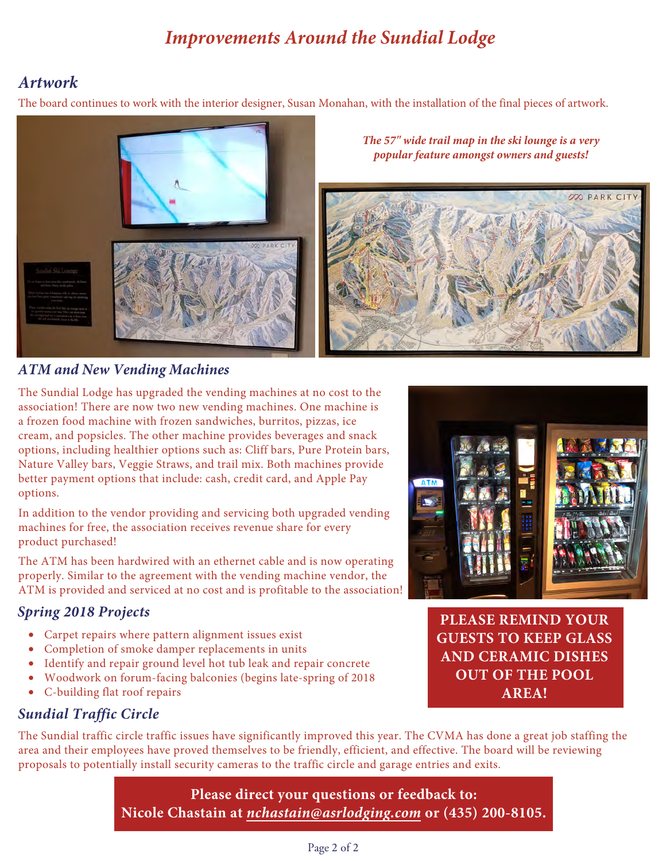# *Improvements Around the Sundial Lodge*

## *Artwork*

The board continues to work with the interior designer, Susan Monahan, with the installation of the final pieces of artwork.



#### *ATM and New Vending Machines*

The Sundial Lodge has upgraded the vending machines at no cost to the association! There are now two new vending machines. One machine is a frozen food machine with frozen sandwiches, burritos, pizzas, ice cream, and popsicles. The other machine provides beverages and snack options, including healthier options such as: Cliff bars, Pure Protein bars, Nature Valley bars, Veggie Straws, and trail mix. Both machines provide better payment options that include: cash, credit card, and Apple Pay options.

In addition to the vendor providing and servicing both upgraded vending machines for free, the association receives revenue share for every product purchased!

The ATM has been hardwired with an ethernet cable and is now operating properly. Similar to the agreement with the vending machine vendor, the ATM is provided and serviced at no cost and is profitable to the association!

#### *Spring 2018 Projects*

- Carpet repairs where pattern alignment issues exist
- Completion of smoke damper replacements in units
- Identify and repair ground level hot tub leak and repair concrete
- Woodwork on forum-facing balconies (begins late-spring of 2018
- C-building flat roof repairs



**PLEASE REMIND YOUR GUESTS TO KEEP GLASS AND CERAMIC DISHES OUT OF THE POOL AREA!**

#### *Sundial Traffic Circle*

The Sundial traffic circle traffic issues have significantly improved this year. The CVMA has done a great job staffing the area and their employees have proved themselves to be friendly, efficient, and effective. The board will be reviewing proposals to potentially install security cameras to the traffic circle and garage entries and exits.

> **Please direct your questions or feedback to: Nicole Chastain at** *[nchastain@asrlodging.com](mailto:nchastain@asrlodging.com)* **or (435) 200-8105.**

#### Page 2 of 2